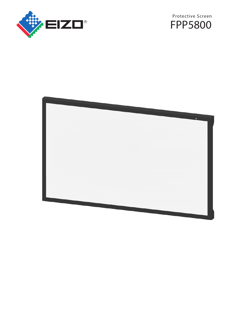